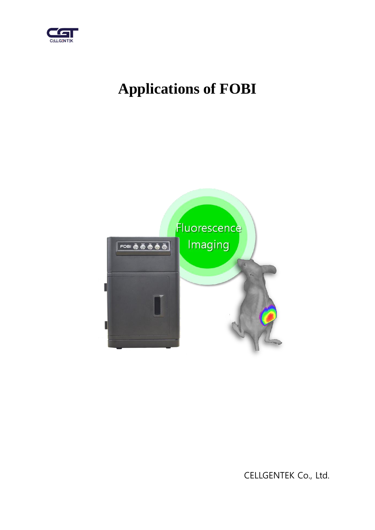

# **Applications of FOBI**



CELLGENTEK Co., Ltd.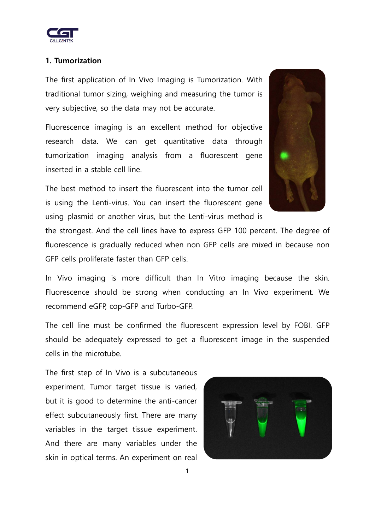

## **1. Tumorization**

The first application of In Vivo Imaging is Tumorization. With traditional tumor sizing, weighing and measuring the tumor is very subjective, so the data may not be accurate.

Fluorescence imaging is an excellent method for objective research data. We can get quantitative data through tumorization imaging analysis from a fluorescent gene inserted in a stable cell line.

The best method to insert the fluorescent into the tumor cell is using the Lenti-virus. You can insert the fluorescent gene using plasmid or another virus, but the Lenti-virus method is

the strongest. And the cell lines have to express GFP 100 percent. The degree of fluorescence is gradually reduced when non GFP cells are mixed in because non GFP cells proliferate faster than GFP cells.

In Vivo imaging is more difficult than In Vitro imaging because the skin. Fluorescence should be strong when conducting an In Vivo experiment. We recommend eGFP, cop-GFP and Turbo-GFP.

The cell line must be confirmed the fluorescent expression level by FOBI. GFP should be adequately expressed to get a fluorescent image in the suspended cells in the microtube.

The first step of In Vivo is a subcutaneous experiment. Tumor target tissue is varied, but it is good to determine the anti-cancer effect subcutaneously first. There are many variables in the target tissue experiment. And there are many variables under the skin in optical terms. An experiment on real



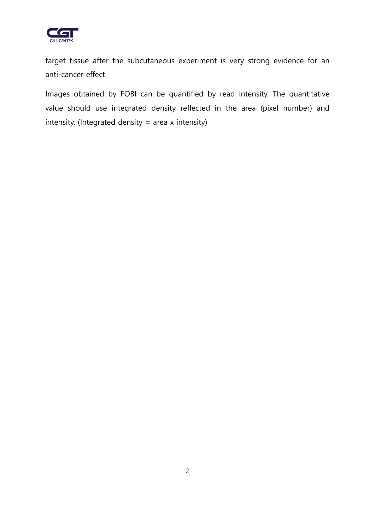

target tissue after the subcutaneous experiment is very strong evidence for an anti-cancer effect.

Images obtained by FOBI can be quantified by read intensity. The quantitative value should use integrated density reflected in the area (pixel number) and intensity. (Integrated density = area x intensity)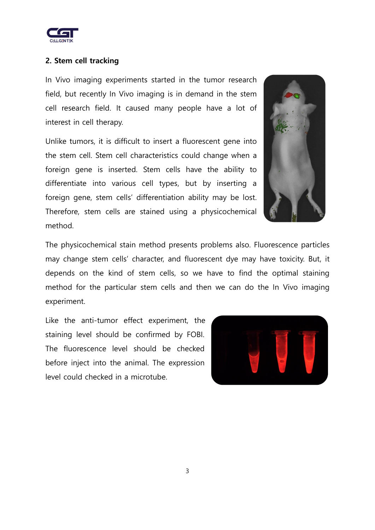

## **2. Stem cell tracking**

In Vivo imaging experiments started in the tumor research field, but recently In Vivo imaging is in demand in the stem cell research field. It caused many people have a lot of interest in cell therapy.

Unlike tumors, it is difficult to insert a fluorescent gene into the stem cell. Stem cell characteristics could change when a foreign gene is inserted. Stem cells have the ability to differentiate into various cell types, but by inserting a foreign gene, stem cells' differentiation ability may be lost. Therefore, stem cells are stained using a physicochemical method.



The physicochemical stain method presents problems also. Fluorescence particles may change stem cells' character, and fluorescent dye may have toxicity. But, it depends on the kind of stem cells, so we have to find the optimal staining method for the particular stem cells and then we can do the In Vivo imaging experiment.

Like the anti-tumor effect experiment, the staining level should be confirmed by FOBI. The fluorescence level should be checked before inject into the animal. The expression level could checked in a microtube.

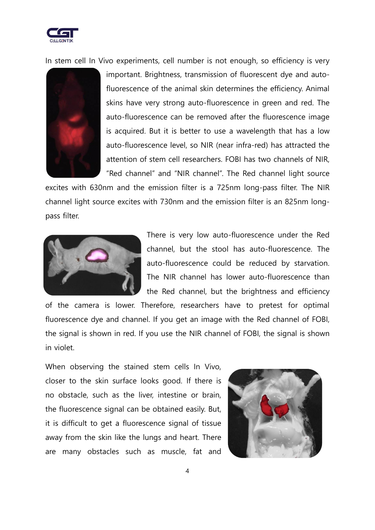

In stem cell In Vivo experiments, cell number is not enough, so efficiency is very



important. Brightness, transmission of fluorescent dye and autofluorescence of the animal skin determines the efficiency. Animal skins have very strong auto-fluorescence in green and red. The auto-fluorescence can be removed after the fluorescence image is acquired. But it is better to use a wavelength that has a low auto-fluorescence level, so NIR (near infra-red) has attracted the attention of stem cell researchers. FOBI has two channels of NIR, "Red channel" and "NIR channel". The Red channel light source

excites with 630nm and the emission filter is a 725nm long-pass filter. The NIR channel light source excites with 730nm and the emission filter is an 825nm longpass filter.



There is very low auto-fluorescence under the Red channel, but the stool has auto-fluorescence. The auto-fluorescence could be reduced by starvation. The NIR channel has lower auto-fluorescence than the Red channel, but the brightness and efficiency

of the camera is lower. Therefore, researchers have to pretest for optimal fluorescence dye and channel. If you get an image with the Red channel of FOBI, the signal is shown in red. If you use the NIR channel of FOBI, the signal is shown in violet.

When observing the stained stem cells In Vivo, closer to the skin surface looks good. If there is no obstacle, such as the liver, intestine or brain, the fluorescence signal can be obtained easily. But, it is difficult to get a fluorescence signal of tissue away from the skin like the lungs and heart. There are many obstacles such as muscle, fat and

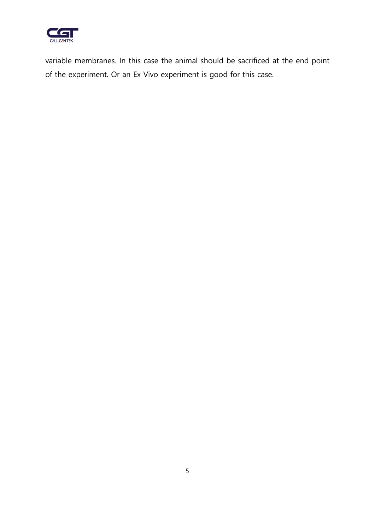

variable membranes. In this case the animal should be sacrificed at the end point of the experiment. Or an Ex Vivo experiment is good for this case.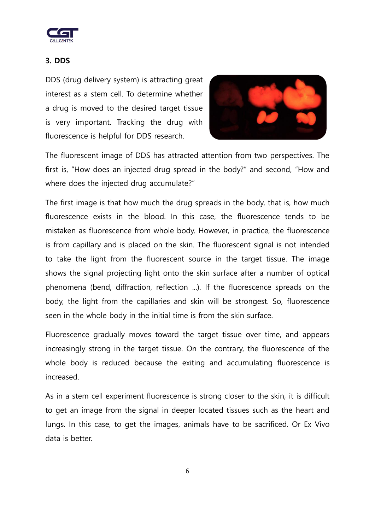

## **3. DDS**

DDS (drug delivery system) is attracting great interest as a stem cell. To determine whether a drug is moved to the desired target tissue is very important. Tracking the drug with fluorescence is helpful for DDS research.



The fluorescent image of DDS has attracted attention from two perspectives. The first is, "How does an injected drug spread in the body?" and second, "How and where does the injected drug accumulate?"

The first image is that how much the drug spreads in the body, that is, how much fluorescence exists in the blood. In this case, the fluorescence tends to be mistaken as fluorescence from whole body. However, in practice, the fluorescence is from capillary and is placed on the skin. The fluorescent signal is not intended to take the light from the fluorescent source in the target tissue. The image shows the signal projecting light onto the skin surface after a number of optical phenomena (bend, diffraction, reflection ...). If the fluorescence spreads on the body, the light from the capillaries and skin will be strongest. So, fluorescence seen in the whole body in the initial time is from the skin surface.

Fluorescence gradually moves toward the target tissue over time, and appears increasingly strong in the target tissue. On the contrary, the fluorescence of the whole body is reduced because the exiting and accumulating fluorescence is increased.

As in a stem cell experiment fluorescence is strong closer to the skin, it is difficult to get an image from the signal in deeper located tissues such as the heart and lungs. In this case, to get the images, animals have to be sacrificed. Or Ex Vivo data is better.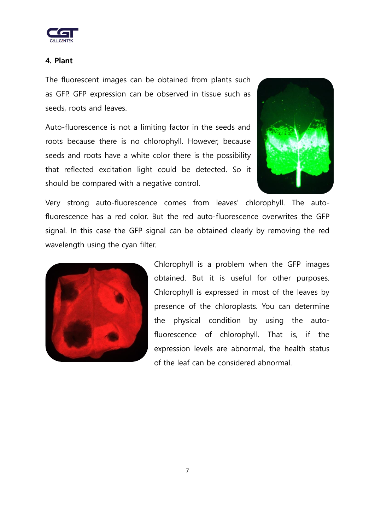

#### **4. Plant**

The fluorescent images can be obtained from plants such as GFP. GFP expression can be observed in tissue such as seeds, roots and leaves.

Auto-fluorescence is not a limiting factor in the seeds and roots because there is no chlorophyll. However, because seeds and roots have a white color there is the possibility that reflected excitation light could be detected. So it should be compared with a negative control.



Very strong auto-fluorescence comes from leaves' chlorophyll. The autofluorescence has a red color. But the red auto-fluorescence overwrites the GFP signal. In this case the GFP signal can be obtained clearly by removing the red wavelength using the cyan filter.



Chlorophyll is a problem when the GFP images obtained. But it is useful for other purposes. Chlorophyll is expressed in most of the leaves by presence of the chloroplasts. You can determine the physical condition by using the autofluorescence of chlorophyll. That is, if the expression levels are abnormal, the health status of the leaf can be considered abnormal.